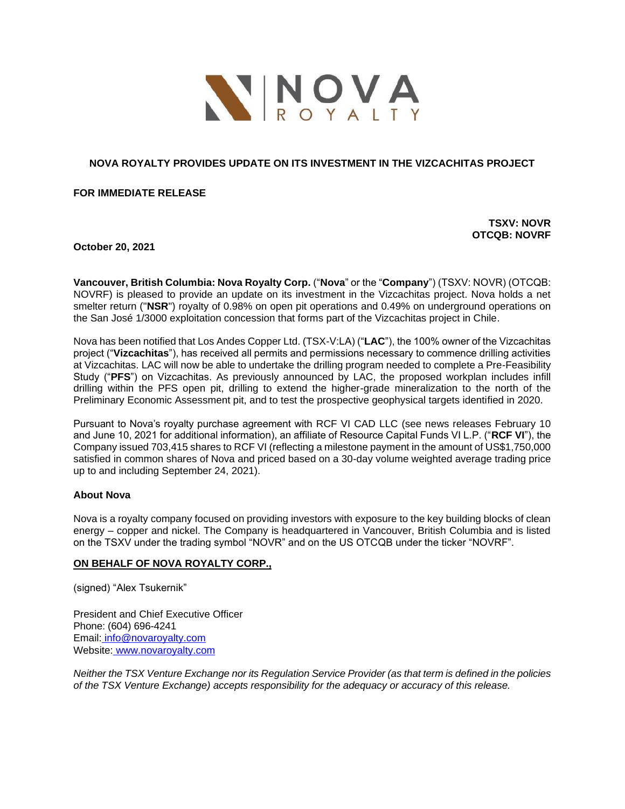

## **NOVA ROYALTY PROVIDES UPDATE ON ITS INVESTMENT IN THE VIZCACHITAS PROJECT**

#### **FOR IMMEDIATE RELEASE**

**TSXV: NOVR OTCQB: NOVRF**

**October 20, 2021**

**Vancouver, British Columbia: Nova Royalty Corp.** ("**Nova**" or the "**Company**") (TSXV: NOVR) (OTCQB: NOVRF) is pleased to provide an update on its investment in the Vizcachitas project. Nova holds a net smelter return ("**NSR**") royalty of 0.98% on open pit operations and 0.49% on underground operations on the San José 1/3000 exploitation concession that forms part of the Vizcachitas project in Chile.

Nova has been notified that Los Andes Copper Ltd. (TSX-V:LA) ("**LAC**"), the 100% owner of the Vizcachitas project ("**Vizcachitas**"), has received all permits and permissions necessary to commence drilling activities at Vizcachitas. LAC will now be able to undertake the drilling program needed to complete a Pre-Feasibility Study ("**PFS**") on Vizcachitas. As previously announced by LAC, the proposed workplan includes infill drilling within the PFS open pit, drilling to extend the higher-grade mineralization to the north of the Preliminary Economic Assessment pit, and to test the prospective geophysical targets identified in 2020.

Pursuant to Nova's royalty purchase agreement with RCF VI CAD LLC (see news releases February 10 and June 10, 2021 for additional information), an affiliate of Resource Capital Funds VI L.P. ("**RCF VI**"), the Company issued 703,415 shares to RCF VI (reflecting a milestone payment in the amount of US\$1,750,000 satisfied in common shares of Nova and priced based on a 30-day volume weighted average trading price up to and including September 24, 2021).

## **About Nova**

Nova is a royalty company focused on providing investors with exposure to the key building blocks of clean energy – copper and nickel. The Company is headquartered in Vancouver, British Columbia and is listed on the TSXV under the trading symbol "NOVR" and on the US OTCQB under the ticker "NOVRF".

## **ON BEHALF OF NOVA ROYALTY CORP.,**

(signed) "Alex Tsukernik"

President and Chief Executive Officer Phone: (604) 696-4241 Email: [info@novaroyalty.com](mailto:info@novaroyalty.com) Website: [www.novaroyalty.com](http://www.novaroyalty.com/)

*Neither the TSX Venture Exchange nor its Regulation Service Provider (as that term is defined in the policies of the TSX Venture Exchange) accepts responsibility for the adequacy or accuracy of this release.*